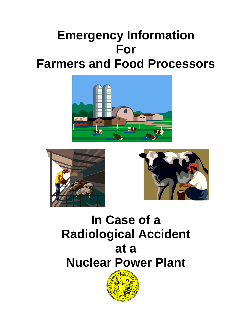# **Emergency Information For Farmers and Food Processors**







# **In Case of a Radiological Accident at a Nuclear Power Plant**

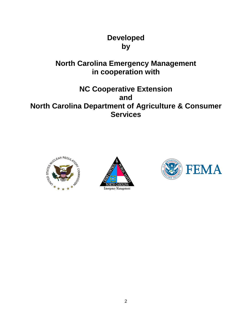# **Developed by**

# **North Carolina Emergency Management in cooperation with**

# **NC Cooperative Extension and North Carolina Department of Agriculture & Consumer Services**





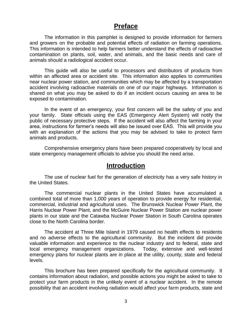## **Preface**

The information in this pamphlet is designed to provide information for farmers and growers on the probable and potential effects of radiation on farming operations. This information is intended to help farmers better understand the effects of radioactive contamination on plants, soil, water, and animals, and the basic needs and care of animals should a radiological accident occur.

This guide will also be useful to processors and distributors of products from within an affected area or accident site. This information also applies to communities near nuclear power station, and communities which may be affected by a transportation accident involving radioactive materials on one of our major highways. Information is shared on what you may be asked to do if an incident occurs causing an area to be exposed to contamination.

In the event of an emergency, your first concern will be the safety of you and your family. State officials using the EAS (Emergency Alert System) will notify the public of necessary protective steps. If the accident will also affect the farming in your area, instructions for farmer's needs will also be issued over EAS. This will provide you with an explanation of the actions that you may be advised to take to protect farm animals and products.

Comprehensive emergency plans have been prepared cooperatively by local and state emergency management officials to advise you should the need arise.

## **Introduction**

The use of nuclear fuel for the generation of electricity has a very safe history in the United States.

The commercial nuclear plants in the United States have accumulated a combined total of more than 1,000 years of operation to provide energy for residential, commercial, industrial and agricultural uses. The Brunswick Nuclear Power Plant, the Harris Nuclear Power Plant, and the McGuire Nuclear Power Station are nuclear power plants in our state and the Catawba Nuclear Power Station in South Carolina operates close to the North Carolina border.

The accident at Three Mile Island in 1979 caused no health effects to residents and no adverse effects to the agricultural community. But the incident did provide valuable information and experience to the nuclear industry and to federal, state and local emergency management organizations. Today, extensive and well-tested emergency plans for nuclear plants are in place at the utility, county, state and federal levels.

This brochure has been prepared specifically for the agricultural community. It contains information about radiation, and possible actions you might be asked to take to protect your farm products in the unlikely event of a nuclear accident. In the remote possibility that an accident involving radiation would affect your farm products, state and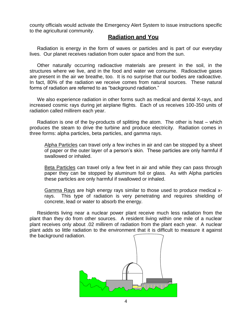county officials would activate the Emergency Alert System to issue instructions specific to the agricultural community.

## **Radiation and You**

Radiation is energy in the form of waves or particles and is part of our everyday lives. Our planet receives radiation from outer space and from the sun.

Other naturally occurring radioactive materials are present in the soil, in the structures where we live, and in the food and water we consume. Radioactive gases are present in the air we breathe, too. It is no surprise that our bodies are radioactive. In fact, 80% of the radiation we receive comes from natural sources. These natural forms of radiation are referred to as "background radiation."

We also experience radiation in other forms such as medical and dental X-rays, and increased cosmic rays during jet airplane flights. Each of us receives 100-350 units of radiation called millirem each year.

Radiation is one of the by-products of splitting the atom. The other is heat – which produces the steam to drive the turbine and produce electricity. Radiation comes in three forms: alpha particles, beta particles, and gamma rays.

Alpha Particles can travel only a few inches in air and can be stopped by a sheet of paper or the outer layer of a person's skin. These particles are only harmful if swallowed or inhaled.

Beta Particles can travel only a few feet in air and while they can pass through paper they can be stopped by aluminum foil or glass. As with Alpha particles these particles are only harmful if swallowed or inhaled.

Gamma Rays are high energy rays similar to those used to produce medical xrays. This type of radiation is very penetrating and requires shielding of concrete, lead or water to absorb the energy.

Residents living near a nuclear power plant receive much less radiation from the plant than they do from other sources. A resident living within one mile of a nuclear plant receives only about .02 millirem of radiation from the plant each year. A nuclear plant adds so little radiation to the environment that it is difficult to measure it against the background radiation.

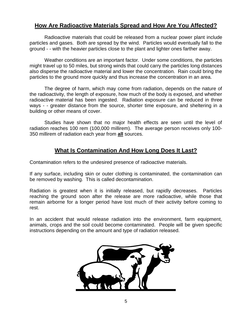## **How Are Radioactive Materials Spread and How Are You Affected?**

Radioactive materials that could be released from a nuclear power plant include particles and gases. Both are spread by the wind. Particles would eventually fall to the ground - - with the heavier particles close to the plant and lighter ones farther away.

Weather conditions are an important factor. Under some conditions, the particles might travel up to 50 miles, but strong winds that could carry the particles long distances also disperse the radioactive material and lower the concentration. Rain could bring the particles to the ground more quickly and thus increase the concentration in an area.

The degree of harm, which may come from radiation, depends on the nature of the radioactivity, the length of exposure, how much of the body is exposed, and whether radioactive material has been ingested. Radiation exposure can be reduced in three ways - - greater distance from the source, shorter time exposure, and sheltering in a building or other means of cover.

Studies have shown that no major health effects are seen until the level of radiation reaches 100 rem (100,000 millirem). The average person receives only 100- 350 millirem of radiation each year from **all** sources.

## **What Is Contamination And How Long Does It Last?**

Contamination refers to the undesired presence of radioactive materials.

If any surface, including skin or outer clothing is contaminated, the contamination can be removed by washing. This is called decontamination.

Radiation is greatest when it is initially released, but rapidly decreases. Particles reaching the ground soon after the release are more radioactive, while those that remain airborne for a longer period have lost much of their activity before coming to rest.

In an accident that would release radiation into the environment, farm equipment, animals, crops and the soil could become contaminated. People will be given specific instructions depending on the amount and type of radiation released.

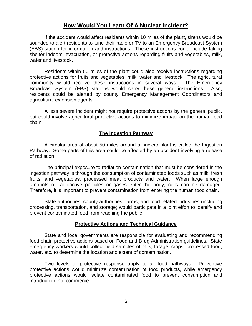## **How Would You Learn Of A Nuclear Incident?**

If the accident would affect residents within 10 miles of the plant, sirens would be sounded to alert residents to tune their radio or TV to an Emergency Broadcast System (EBS) station for information and instructions. These instructions could include taking shelter indoors, evacuation, or protective actions regarding fruits and vegetables, milk, water and livestock.

Residents within 50 miles of the plant could also receive instructions regarding protective actions for fruits and vegetables, milk, water and livestock. The agricultural community would receive these instructions in several ways. The Emergency Broadcast System (EBS) stations would carry these general instructions. Also, residents could be alerted by county Emergency Management Coordinators and agricultural extension agents.

A less severe incident might not require protective actions by the general public, but could involve agricultural protective actions to minimize impact on the human food chain.

#### **The Ingestion Pathway**

A circular area of about 50 miles around a nuclear plant is called the Ingestion Pathway. Some parts of this area could be affected by an accident involving a release of radiation.

The principal exposure to radiation contamination that must be considered in the ingestion pathway is through the consumption of contaminated foods such as milk, fresh fruits, and vegetables, processed meat products and water. When large enough amounts of radioactive particles or gases enter the body, cells can be damaged. Therefore, it is important to prevent contamination from entering the human food chain.

State authorities, county authorities, farms, and food-related industries (including processing, transportation, and storage) would participate in a joint effort to identify and prevent contaminated food from reaching the public.

#### **Protective Actions and Technical Guidance**

State and local governments are responsible for evaluating and recommending food chain protective actions based on Food and Drug Administration guidelines. State emergency workers would collect field samples of milk, forage, crops, processed food, water, etc. to determine the location and extent of contamination.

Two levels of protective response apply to all food pathways. Preventive protective actions would minimize contamination of food products, while emergency protective actions would isolate contaminated food to prevent consumption and introduction into commerce.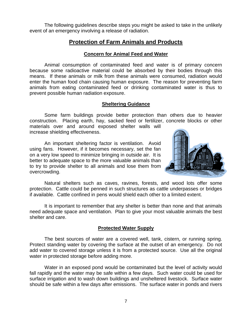The following guidelines describe steps you might be asked to take in the unlikely event of an emergency involving a release of radiation.

## **Protection of Farm Animals and Products**

#### **Concern for Animal Feed and Water**

Animal consumption of contaminated feed and water is of primary concern because some radioactive material could be absorbed by their bodies through this means. If these animals or milk from these animals were consumed, radiation would enter the human food chain causing human exposure. The reason for preventing farm animals from eating contaminated feed or drinking contaminated water is thus to prevent possible human radiation exposure.

## **Sheltering Guidance**

Some farm buildings provide better protection than others due to heavier construction. Placing earth, hay, sacked feed or fertilizer, concrete blocks or other materials over and around exposed shelter walls will increase shielding effectiveness.

An important sheltering factor is ventilation. Avoid using fans. However, if it becomes necessary, set the fan on a very low speed to minimize bringing in outside air. It is better to adequate space to the more valuable animals than to try to provide shelter to all animals and lose them from overcrowding.



Natural shelters such as caves, ravines, forests, and wood lots offer some protection. Cattle could be penned in such structures as cattle underpasses or bridges if available. Cattle confined in pens would shield each other to a limited extent.

It is important to remember that any shelter is better than none and that animals need adequate space and ventilation. Plan to give your most valuable animals the best shelter and care.

## **Protected Water Supply**

The best sources of water are a covered well, tank, cistern, or running spring. Protect standing water by covering the surface at the outset of an emergency. Do not add water to covered storage unless it is from a protected source. Use all the original water in protected storage before adding more.

Water in an exposed pond would be contaminated but the level of activity would fall rapidly and the water may be safe within a few days. Such water could be used for surface irrigation and to wash down buildings and unsheltered livestock. Surface water should be safe within a few days after emissions. The surface water in ponds and rivers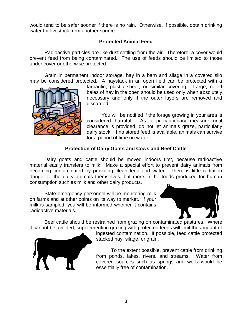would tend to be safer sooner if there is no rain. Otherwise, if possible, obtain drinking water for livestock from another source.

## **Protected Animal Feed**

Radioactive particles are like dust settling from the air. Therefore, a cover would prevent feed from being contaminated. The use of feeds should be limited to those under cover or otherwise protected.

Grain in permanent indoor storage, hay in a barn and silage in a covered silo may be considered protected. A haystack in an open field can be protected with a

tarpaulin, plastic sheet, or similar covering. Large, rolled bales of hay in the open should be used only when absolutely necessary and only if the outer layers are removed and discarded.

You will be notified if the forage growing in your area is considered harmful. As a precautionary measure until clearance is provided, do not let animals graze, particularly dairy stock. If no stored feed is available, animals can survive for a period of time on water.

## **Protection of Dairy Goats and Cows and Beef Cattle**

Dairy goats and cattle should be moved indoors first, because radioactive material easily transfers to milk. Make a special effort to prevent dairy animals from becoming contaminated by providing clean feed and water. There is little radiation danger to the dairy animals themselves, but more in the foods produced for human consumption such as milk and other dairy products.

State emergency personnel will be monitoring milk on farms and at other points on its way to market. If your milk is sampled, you will be informed whether it contains radioactive materials.



Beef cattle should be restrained from grazing on contaminated pastures. Where it cannot be avoided, supplementing grazing with protected feeds will limit the amount of



ingested contamination. If possible, feed cattle protected stacked hay, silage, or grain.

To the extent possible, prevent cattle from drinking from ponds, lakes, rivers, and streams. Water from covered sources such as springs and wells would be essentially free of contamination.

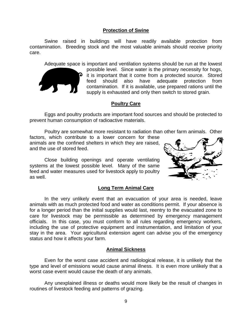#### **Protection of Swine**

Swine raised in buildings will have readily available protection from contamination. Breeding stock and the most valuable animals should receive priority care.

Adequate space is important and ventilation systems should be run at the lowest



possible level. Since water is the primary necessity for hogs,  $\bullet$  it is important that it come from a protected source. Stored feed should also have adequate protection from contamination. If it is available, use prepared rations until the supply is exhausted and only then switch to stored grain.

## **Poultry Care**

Eggs and poultry products are important food sources and should be protected to prevent human consumption of radioactive materials.

Poultry are somewhat more resistant to radiation than other farm animals. Other

factors, which contribute to a lower concern for these animals are the confined shelters in which they are raised, and the use of stored feed.

Close building openings and operate ventilating systems at the lowest possible level. Many of the same feed and water measures used for livestock apply to poultry as well.



## **Long Term Animal Care**

In the very unlikely event that an evacuation of your area is needed, leave animals with as much protected food and water as conditions permit. If your absence is for a longer period than the initial supplies would last, reentry to the evacuated zone to care for livestock may be permissible as determined by emergency management officials. In this case, you must conform to all rules regarding emergency workers, including the use of protective equipment and instrumentation, and limitation of your stay in the area. Your agricultural extension agent can advise you of the emergency status and how it affects your farm.

#### **Animal Sickness**

Even for the worst case accident and radiological release, it is unlikely that the type and level of emissions would cause animal illness. It is even more unlikely that a worst case event would cause the death of any animals.

Any unexplained illness or deaths would more likely be the result of changes in routines of livestock feeding and patterns of grazing.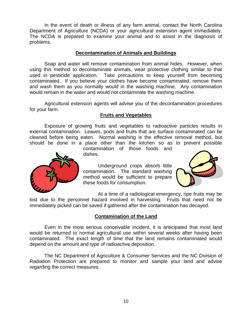In the event of death or illness of any farm animal, contact the North Carolina Department of Agriculture (NCDA) or your agricultural extension agent immediately. The NCDA is prepared to examine your animal and to assist in the diagnosis of problems.

#### **Decontamination of Animals and Buildings**

Soap and water will remove contamination from animal hides. However, when using this method to decontaminate animals, wear protective clothing similar to that used in pesticide application. Take precautions to keep yourself from becoming contaminated. If you believe your clothes have become contaminated, remove them and wash them as you normally would in the washing machine. Any contamination would remain in the water and would not contaminate the washing machine.

Agricultural extension agents will advise you of the decontamination procedures for your farm.

#### **Fruits and Vegetables**

Exposure of growing fruits and vegetables to radioactive particles results in external contamination. Leaves, pods and fruits that are surface contaminated can be cleaned before being eaten. Normal washing is the effective removal method, but should be done in a place other than the kitchen so as to prevent possible

> contamination of those foods and dishes.



Underground crops absorb little contamination. The standard washing method would be sufficient to prepare these foods for consumption.



At a time of a radiological emergency, ripe fruits may be lost due to the personnel hazard involved in harvesting. Fruits that need not be immediately picked can be saved if gathered after the contamination has decayed.

#### **Contamination of the Land**

Even in the most serious conceivable incident, it is anticipated that most land would be returned to normal agricultural use within several weeks after having been contaminated. The exact length of time that the land remains contaminated would depend on the amount and type of radioactive deposition.

The NC Department of Agriculture & Consumer Services and the NC Division of Radiation Protection are prepared to monitor and sample your land and advise regarding the correct measures.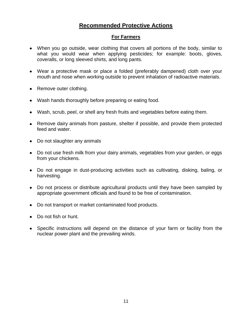## **Recommended Protective Actions**

## **For Farmers**

- When you go outside, wear clothing that covers all portions of the body, similar to what you would wear when applying pesticides; for example: boots, gloves, coveralls, or long sleeved shirts, and long pants.
- Wear a protective mask or place a folded (preferably dampened) cloth over your mouth and nose when working outside to prevent inhalation of radioactive materials.
- Remove outer clothing.
- Wash hands thoroughly before preparing or eating food.
- Wash, scrub, peel, or shell any fresh fruits and vegetables before eating them.
- Remove dairy animals from pasture, shelter if possible, and provide them protected feed and water.
- Do not slaughter any animals
- Do not use fresh milk from your dairy animals, vegetables from your garden, or eggs from your chickens.
- Do not engage in dust-producing activities such as cultivating, disking, baling, or harvesting.
- Do not process or distribute agricultural products until they have been sampled by appropriate government officials and found to be free of contamination.
- Do not transport or market contaminated food products.
- Do not fish or hunt.
- Specific instructions will depend on the distance of your farm or facility from the nuclear power plant and the prevailing winds.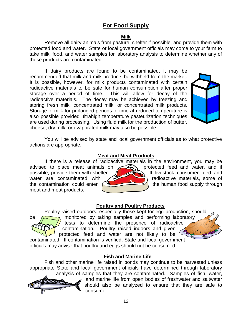## **For Food Supply**

## **Milk**

Remove all dairy animals from pasture, shelter if possible, and provide them with protected food and water. State or local government officials may come to your farm to take milk, food, and water samples for laboratory analysis to determine whether any of these products are contaminated.

If dairy products are found to be contaminated, it may be recommended that milk and milk products be withheld from the market. It is possible, however, for milk products contaminated with certain radioactive materials to be safe for human consumption after proper storage over a period of time. This will allow for decay of the radioactive materials. The decay may be achieved by freezing and storing fresh milk, concentrated milk, or concentrated milk products. Storage of milk for prolonged periods of time at reduced temperature is also possible provided ultrahigh temperature pasteurization techniques are used during processing. Using fluid milk for the production of butter, cheese, dry milk, or evaporated milk may also be possible.



You will be advised by state and local government officials as to what protective actions are appropriate.

## **Meat and Meat Products**

If there is a release of radioactive materials in the environment, you may be advised to place meat animals on  $\bigotimes$ , protected feed and water, and if possible, provide them with shelter.  $\sqrt{ }$  if livestock consumer feed and water are contaminated with  $\sqrt{2}$  radioactive materials, some of the contamination could enter meat and meat products.



## **Poultry and Poultry Products**

Poultry raised outdoors, especially those kept for egg production, should be  $\sum_{n=1}^{\infty}$  monitored by taking samples and performing laboratory tests to determine the presence of radioactive contamination. Poultry raised indoors and given protected feed and water are not likely to be

contaminated. If contamination is verified, State and local government officials may advise that poultry and eggs should not be consumed.

## **Fish and Marine Life**

Fish and other marine life raised in ponds may continue to be harvested unless appropriate State and local government officials have determined through laboratory analysis of samples that they are contaminated. Samples of fish, water,



and marine life from open bodies of freshwater and saltwater should also be analyzed to ensure that they are safe to consume.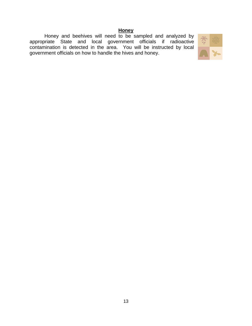## **Honey**

Honey and beehives will need to be sampled and analyzed by appropriate State and local government officials if radioactive contamination is detected in the area. You will be instructed by local government officials on how to handle the hives and honey.

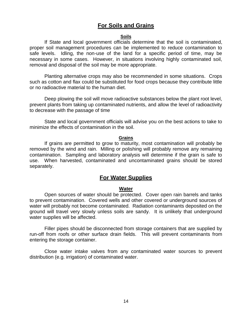## **For Soils and Grains**

#### **Soils**

If State and local government officials determine that the soil is contaminated, proper soil management procedures can be implemented to reduce contamination to safe levels. Idling, the non-use of the land for a specific period of time, may be necessary in some cases. However, in situations involving highly contaminated soil, removal and disposal of the soil may be more appropriate.

Planting alternative crops may also be recommended in some situations. Crops such as cotton and flax could be substituted for food crops because they contribute little or no radioactive material to the human diet.

Deep plowing the soil will move radioactive substances below the plant root level, prevent plants from taking up contaminated nutrients, and allow the level of radioactivity to decrease with the passage of time

State and local government officials will advise you on the best actions to take to minimize the effects of contamination in the soil.

#### **Grains**

If grains are permitted to grow to maturity, most contamination will probably be removed by the wind and rain. Milling or polishing will probably remove any remaining contamination. Sampling and laboratory analysis will determine if the grain is safe to use. When harvested, contaminated and uncontaminated grains should be stored separately.

## **For Water Supplies**

#### **Water**

Open sources of water should be protected. Cover open rain barrels and tanks to prevent contamination. Covered wells and other covered or underground sources of water will probably not become contaminated. Radiation contaminants deposited on the ground will travel very slowly unless soils are sandy. It is unlikely that underground water supplies will be affected.

Filler pipes should be disconnected from storage containers that are supplied by run-off from roofs or other surface drain fields. This will prevent contaminants from entering the storage container.

Close water intake valves from any contaminated water sources to prevent distribution (e.g. irrigation) of contaminated water.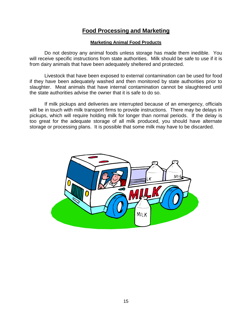## **Food Processing and Marketing**

#### **Marketing Animal Food Products**

Do not destroy any animal foods unless storage has made them inedible. You will receive specific instructions from state authorities. Milk should be safe to use if it is from dairy animals that have been adequately sheltered and protected.

Livestock that have been exposed to external contamination can be used for food if they have been adequately washed and then monitored by state authorities prior to slaughter. Meat animals that have internal contamination cannot be slaughtered until the state authorities advise the owner that it is safe to do so.

If milk pickups and deliveries are interrupted because of an emergency, officials will be in touch with milk transport firms to provide instructions. There may be delays in pickups, which will require holding milk for longer than normal periods. If the delay is too great for the adequate storage of all milk produced, you should have alternate storage or processing plans. It is possible that some milk may have to be discarded.

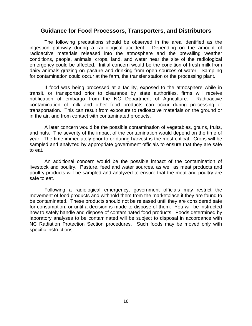## **Guidance for Food Processors, Transporters, and Distributors**

The following precautions should be observed in the area identified as the ingestion pathway during a radiological accident. Depending on the amount of radioactive materials released into the atmosphere and the prevailing weather conditions, people, animals, crops, land, and water near the site of the radiological emergency could be affected. Initial concern would be the condition of fresh milk from dairy animals grazing on pasture and drinking from open sources of water. Sampling for contamination could occur at the farm, the transfer station or the processing plant.

If food was being processed at a facility, exposed to the atmosphere while in transit, or transported prior to clearance by state authorities, firms will receive notification of embargo from the NC Department of Agriculture. Radioactive contamination of milk and other food products can occur during processing or transportation. This can result from exposure to radioactive materials on the ground or in the air, and from contact with contaminated products.

A later concern would be the possible contamination of vegetables, grains, fruits, and nuts. The severity of the impact of the contamination would depend on the time of year. The time immediately prior to or during harvest is the most critical. Crops will be sampled and analyzed by appropriate government officials to ensure that they are safe to eat.

An additional concern would be the possible impact of the contamination of livestock and poultry. Pasture, feed and water sources, as well as meat products and poultry products will be sampled and analyzed to ensure that the meat and poultry are safe to eat.

Following a radiological emergency, government officials may restrict the movement of food products and withhold them from the marketplace if they are found to be contaminated. These products should not be released until they are considered safe for consumption, or until a decision is made to dispose of them. You will be instructed how to safely handle and dispose of contaminated food products. Foods determined by laboratory analyses to be contaminated will be subject to disposal in accordance with NC Radiation Protection Section procedures. Such foods may be moved only with specific instructions.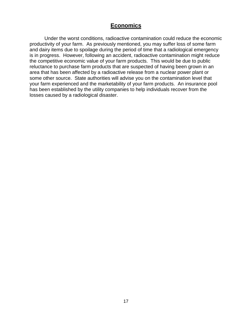## **Economics**

Under the worst conditions, radioactive contamination could reduce the economic productivity of your farm. As previously mentioned, you may suffer loss of some farm and dairy items due to spoilage during the period of time that a radiological emergency is in progress. However, following an accident, radioactive contamination might reduce the competitive economic value of your farm products. This would be due to public reluctance to purchase farm products that are suspected of having been grown in an area that has been affected by a radioactive release from a nuclear power plant or some other source. State authorities will advise you on the contamination level that your farm experienced and the marketability of your farm products. An insurance pool has been established by the utility companies to help individuals recover from the losses caused by a radiological disaster.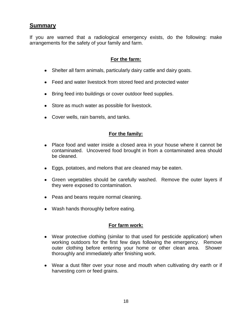## **Summary**

If you are warned that a radiological emergency exists, do the following: make arrangements for the safety of your family and farm.

## **For the farm:**

- Shelter all farm animals, particularly dairy cattle and dairy goats.
- Feed and water livestock from stored feed and protected water
- Bring feed into buildings or cover outdoor feed supplies.
- Store as much water as possible for livestock.
- Cover wells, rain barrels, and tanks.

## **For the family:**

- Place food and water inside a closed area in your house where it cannot be contaminated. Uncovered food brought in from a contaminated area should be cleaned.
- Eggs, potatoes, and melons that are cleaned may be eaten.
- Green vegetables should be carefully washed. Remove the outer layers if they were exposed to contamination.
- Peas and beans require normal cleaning.
- Wash hands thoroughly before eating.

## **For farm work:**

- Wear protective clothing (similar to that used for pesticide application) when working outdoors for the first few days following the emergency. Remove outer clothing before entering your home or other clean area. Shower thoroughly and immediately after finishing work.
- Wear a dust filter over your nose and mouth when cultivating dry earth or if harvesting corn or feed grains.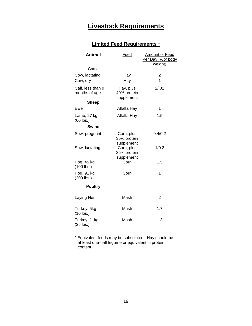# **Livestock Requirements**

## **Limited Feed Requirements** \*

| <b>Animal</b>                      | <b>Feed</b>                             | <b>Amount of Feed</b><br>Per Day (%of body<br>weight) |
|------------------------------------|-----------------------------------------|-------------------------------------------------------|
| Cattle                             |                                         |                                                       |
| Cow, lactating<br>Cow, dry         | Hay<br>Hay                              | 2<br>1                                                |
| Calf, less than 9<br>months of age | Hay, plus<br>40% protein<br>supplement  | 2/0.02                                                |
| <b>Sheep</b>                       |                                         |                                                       |
| Ewe                                | Alfalfa Hay                             | 1                                                     |
| Lamb, 27 kg<br>$(60$ lbs.)         | Alfalfa Hay                             | 1.5                                                   |
| <b>Swine</b>                       |                                         |                                                       |
| Sow, pregnant                      | Corn, plus<br>35% protein<br>supplement | 0.4/0.2                                               |
| Sow, lactating                     | Corn, plus<br>35% protein               | 1/0.2                                                 |
| Hog, 45 kg<br>$(100$ lbs.)         | supplement<br>Corn                      | 1.5                                                   |
| Hog, 91 kg<br>$(200$ lbs.)         | Corn                                    | 1                                                     |
| <b>Poultry</b>                     |                                         |                                                       |
| Laying Hen                         | Mash                                    | 2                                                     |
| Turkey, 5kg<br>$(10$ lbs.)         | Mash                                    | 1.7                                                   |
| Turkey, 11kg<br>$(25$ lbs.)        | Mash                                    | 1.3                                                   |

\* Equivalent feeds may be substituted. Hay should be at least one-half legume or equivalent in protein content.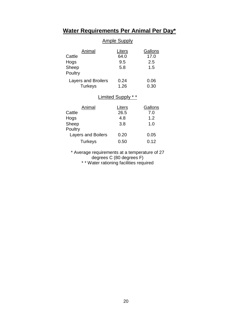## **Water Requirements Per Animal Per Day\***

## Ample Supply

| Animal<br>Cattle<br>Hogs<br>Sheep<br>Poultry | Liters<br>64.0<br>9.5<br>5.8 | Gallons<br>17.0<br>2.5<br>1.5       |  |
|----------------------------------------------|------------------------------|-------------------------------------|--|
| <b>Layers and Broilers</b><br><b>Turkeys</b> | 0.24<br>1.26                 | 0.06<br>0.30                        |  |
| <b>Limited Supply</b>                        |                              |                                     |  |
| Animal<br>Cattle<br>Hogs<br>Sheep<br>Poultry | Liters<br>26.5<br>4.8<br>3.8 | <b>Gallons</b><br>7.0<br>1.2<br>1.0 |  |
| <b>Layers and Boilers</b>                    | 0.20                         | 0.05                                |  |
| Turkeys                                      | 0.50                         | 0.12                                |  |

\* Average requirements at a temperature of 27 degrees C (80 degrees F)

\* \* Water rationing facilities required